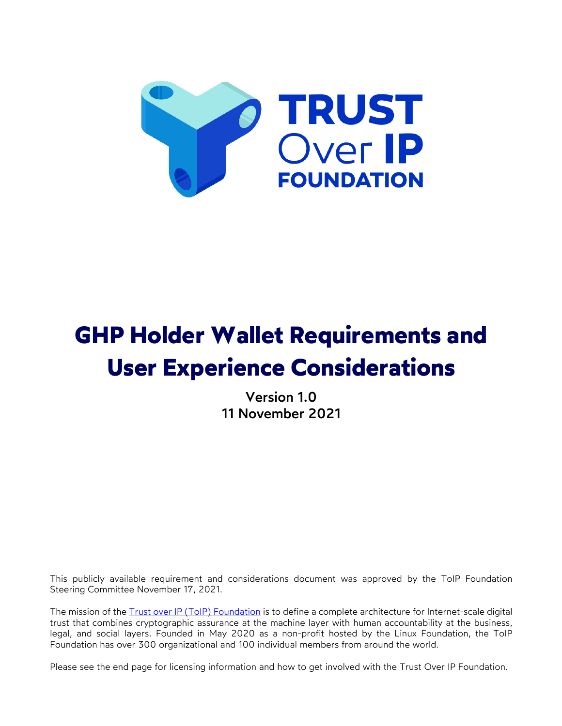

# **GHP Holder Wallet Requirements and User Experience Considerations**

Version 1.0 11 November 2021

This publicly available requirement and considerations document was approved by the ToIP Foundation Steering Committee November 17, 2021.

The mission of the Trust over IP (ToIP) Foundation is to define a complete architecture for Internet-scale digital trust that combines cryptographic assurance at the machine layer with human accountability at the business, legal, and social layers. Founded in May 2020 as a non-profit hosted by the Linux Foundation, the ToIP Foundation has over 300 organizational and 100 individual members from around the world.

Please see the end page for licensing information and how to get involved with the Trust Over IP Foundation.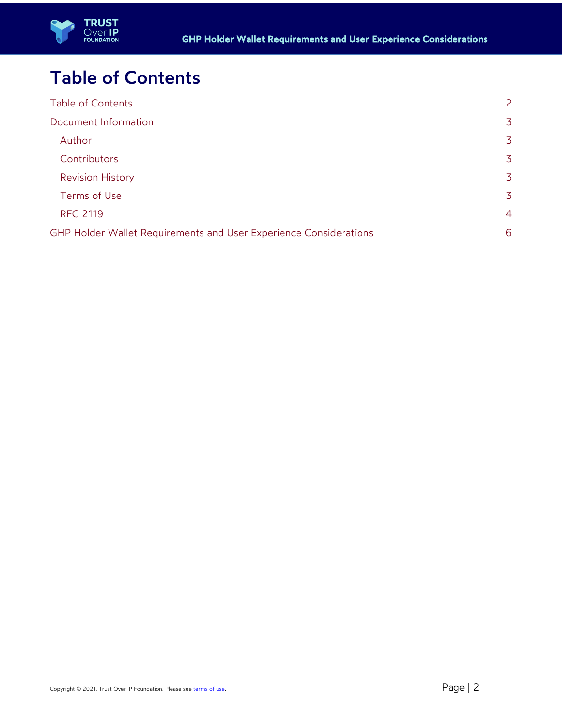



## Table of Contents

| <b>Table of Contents</b>                                          | $\overline{2}$ |
|-------------------------------------------------------------------|----------------|
| Document Information                                              | 3              |
| Author                                                            | 3              |
| Contributors                                                      | 3              |
| <b>Revision History</b>                                           | 3              |
| Terms of Use                                                      | 3              |
| <b>RFC 2119</b>                                                   | $\overline{4}$ |
| GHP Holder Wallet Requirements and User Experience Considerations |                |
|                                                                   |                |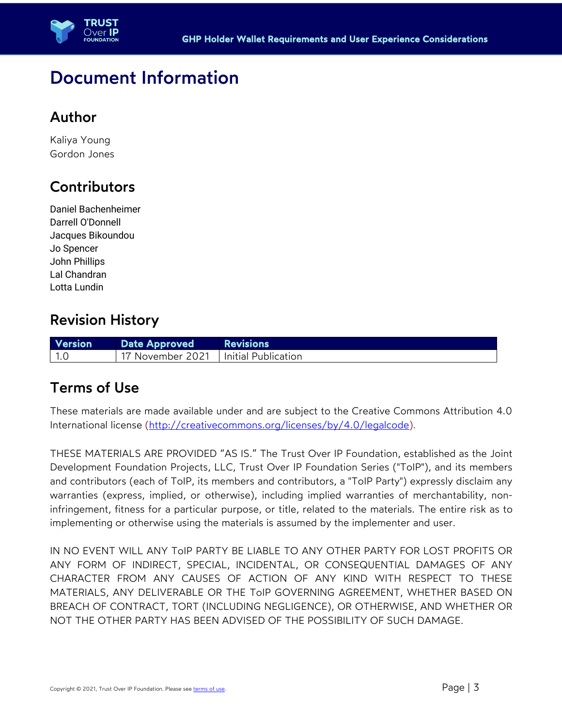

### Document Information

#### Author

Kaliya Young Gordon Jones

### **Contributors**

Daniel Bachenheimer Darrell O'Donnell Jacques Bikoundou Jo Spencer John Phillips Lal Chandran Lotta Lundin

#### Revision History

| <b>Version</b> | Date Approved                          | <b>Exercises</b> Revisions |
|----------------|----------------------------------------|----------------------------|
| $\vert$ 1.0    | 17 November 2021   Initial Publication |                            |

#### Terms of Use

These materials are made available under and are subject to the Creative Commons Attribution 4.0 International license (http://creativecommons.org/licenses/by/4.0/legalcode).

THESE MATERIALS ARE PROVIDED "AS IS." The Trust Over IP Foundation, established as the Joint Development Foundation Projects, LLC, Trust Over IP Foundation Series ("ToIP"), and its members and contributors (each of ToIP, its members and contributors, a "ToIP Party") expressly disclaim any warranties (express, implied, or otherwise), including implied warranties of merchantability, noninfringement, fitness for a particular purpose, or title, related to the materials. The entire risk as to implementing or otherwise using the materials is assumed by the implementer and user.

IN NO EVENT WILL ANY ToIP PARTY BE LIABLE TO ANY OTHER PARTY FOR LOST PROFITS OR ANY FORM OF INDIRECT, SPECIAL, INCIDENTAL, OR CONSEQUENTIAL DAMAGES OF ANY CHARACTER FROM ANY CAUSES OF ACTION OF ANY KIND WITH RESPECT TO THESE MATERIALS, ANY DELIVERABLE OR THE ToIP GOVERNING AGREEMENT, WHETHER BASED ON BREACH OF CONTRACT, TORT (INCLUDING NEGLIGENCE), OR OTHERWISE, AND WHETHER OR NOT THE OTHER PARTY HAS BEEN ADVISED OF THE POSSIBILITY OF SUCH DAMAGE.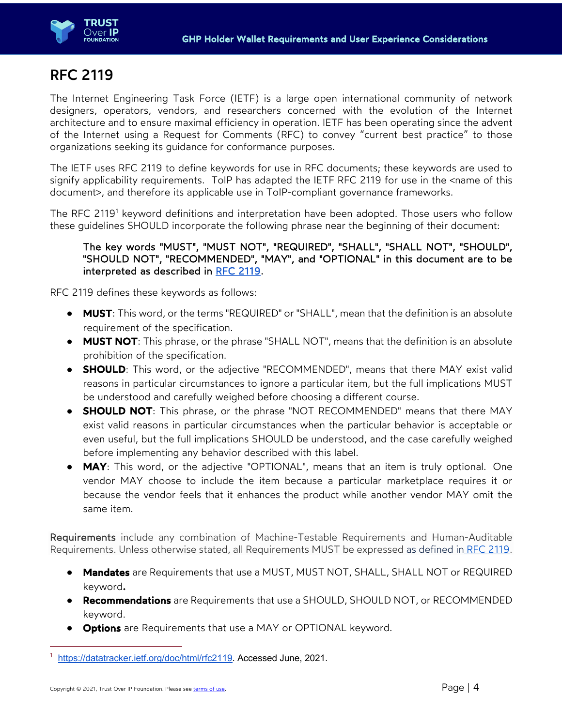

### RFC 2119

The Internet Engineering Task Force (IETF) is a large open international community of network designers, operators, vendors, and researchers concerned with the evolution of the Internet architecture and to ensure maximal efficiency in operation. IETF has been operating since the advent of the Internet using a Request for Comments (RFC) to convey "current best practice" to those organizations seeking its guidance for conformance purposes.

The IETF uses RFC 2119 to define keywords for use in RFC documents; these keywords are used to signify applicability requirements. ToIP has adapted the IETF RFC 2119 for use in the <name of this document>, and therefore its applicable use in ToIP-compliant governance frameworks.

The RFC 2119<sup>1</sup> keyword definitions and interpretation have been adopted. Those users who follow these guidelines SHOULD incorporate the following phrase near the beginning of their document:

#### The key words "MUST", "MUST NOT", "REQUIRED", "SHALL", "SHALL NOT", "SHOULD", "SHOULD NOT", "RECOMMENDED", "MAY", and "OPTIONAL" in this document are to be interpreted as described in RFC 2119.

RFC 2119 defines these keywords as follows:

- **MUST**: This word, or the terms "REQUIRED" or "SHALL", mean that the definition is an absolute requirement of the specification.
- **MUST NOT**: This phrase, or the phrase "SHALL NOT", means that the definition is an absolute prohibition of the specification.
- **SHOULD**: This word, or the adjective "RECOMMENDED", means that there MAY exist valid reasons in particular circumstances to ignore a particular item, but the full implications MUST be understood and carefully weighed before choosing a different course.
- SHOULD NOT: This phrase, or the phrase "NOT RECOMMENDED" means that there MAY exist valid reasons in particular circumstances when the particular behavior is acceptable or even useful, but the full implications SHOULD be understood, and the case carefully weighed before implementing any behavior described with this label.
- MAY: This word, or the adjective "OPTIONAL", means that an item is truly optional. One vendor MAY choose to include the item because a particular marketplace requires it or because the vendor feels that it enhances the product while another vendor MAY omit the same item.

Requirements include any combination of Machine-Testable Requirements and Human-Auditable Requirements. Unless otherwise stated, all Requirements MUST be expressed as defined in RFC 2119.

- Mandates are Requirements that use a MUST, MUST NOT, SHALL, SHALL NOT or REQUIRED keyword.
- **Recommendations** are Requirements that use a SHOULD, SHOULD NOT, or RECOMMENDED keyword.
- **Options** are Requirements that use a MAY or OPTIONAL keyword.

<sup>1</sup> https://datatracker.ietf.org/doc/html/rfc2119. Accessed June, 2021.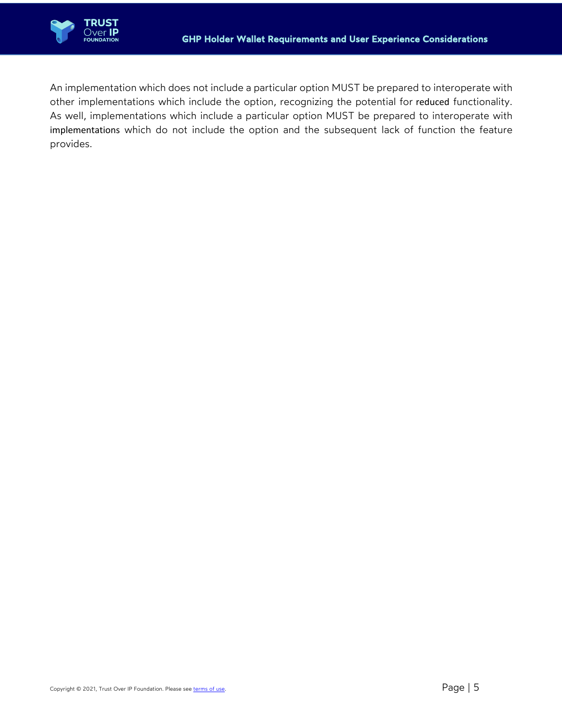

An implementation which does not include a particular option MUST be prepared to interoperate with other implementations which include the option, recognizing the potential for reduced functionality. As well, implementations which include a particular option MUST be prepared to interoperate with implementations which do not include the option and the subsequent lack of function the feature provides.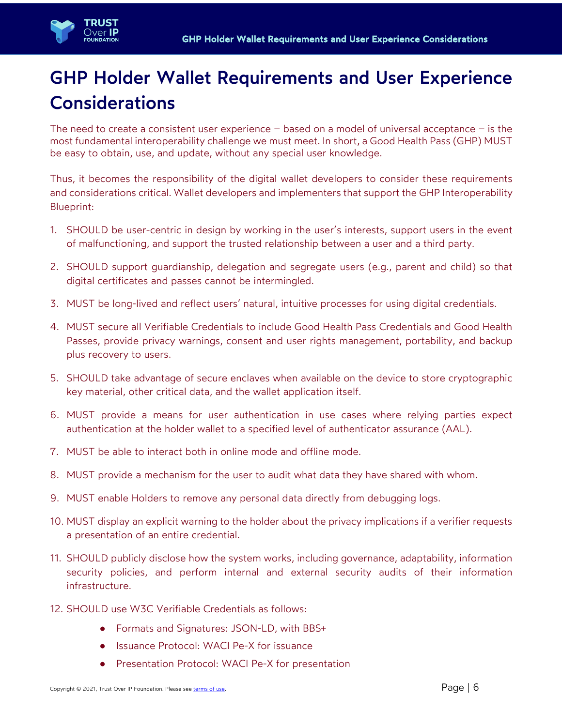

# GHP Holder Wallet Requirements and User Experience Considerations

The need to create a consistent user experience  $-$  based on a model of universal acceptance  $-$  is the most fundamental interoperability challenge we must meet. In short, a Good Health Pass (GHP) MUST be easy to obtain, use, and update, without any special user knowledge.

Thus, it becomes the responsibility of the digital wallet developers to consider these requirements and considerations critical. Wallet developers and implementers that support the GHP Interoperability Blueprint:

- 1. SHOULD be user-centric in design by working in the user's interests, support users in the event of malfunctioning, and support the trusted relationship between a user and a third party.
- 2. SHOULD support guardianship, delegation and segregate users (e.g., parent and child) so that digital certificates and passes cannot be intermingled.
- 3. MUST be long-lived and reflect users' natural, intuitive processes for using digital credentials.
- 4. MUST secure all Verifiable Credentials to include Good Health Pass Credentials and Good Health Passes, provide privacy warnings, consent and user rights management, portability, and backup plus recovery to users.
- 5. SHOULD take advantage of secure enclaves when available on the device to store cryptographic key material, other critical data, and the wallet application itself.
- 6. MUST provide a means for user authentication in use cases where relying parties expect authentication at the holder wallet to a specified level of authenticator assurance (AAL).
- 7. MUST be able to interact both in online mode and offline mode.
- 8. MUST provide a mechanism for the user to audit what data they have shared with whom.
- 9. MUST enable Holders to remove any personal data directly from debugging logs.
- 10. MUST display an explicit warning to the holder about the privacy implications if a verifier requests a presentation of an entire credential.
- 11. SHOULD publicly disclose how the system works, including governance, adaptability, information security policies, and perform internal and external security audits of their information infrastructure.
- 12. SHOULD use W3C Verifiable Credentials as follows:
	- Formats and Signatures: JSON-LD, with BBS+
	- Issuance Protocol: WACI Pe-X for issuance
	- Presentation Protocol: WACI Pe-X for presentation